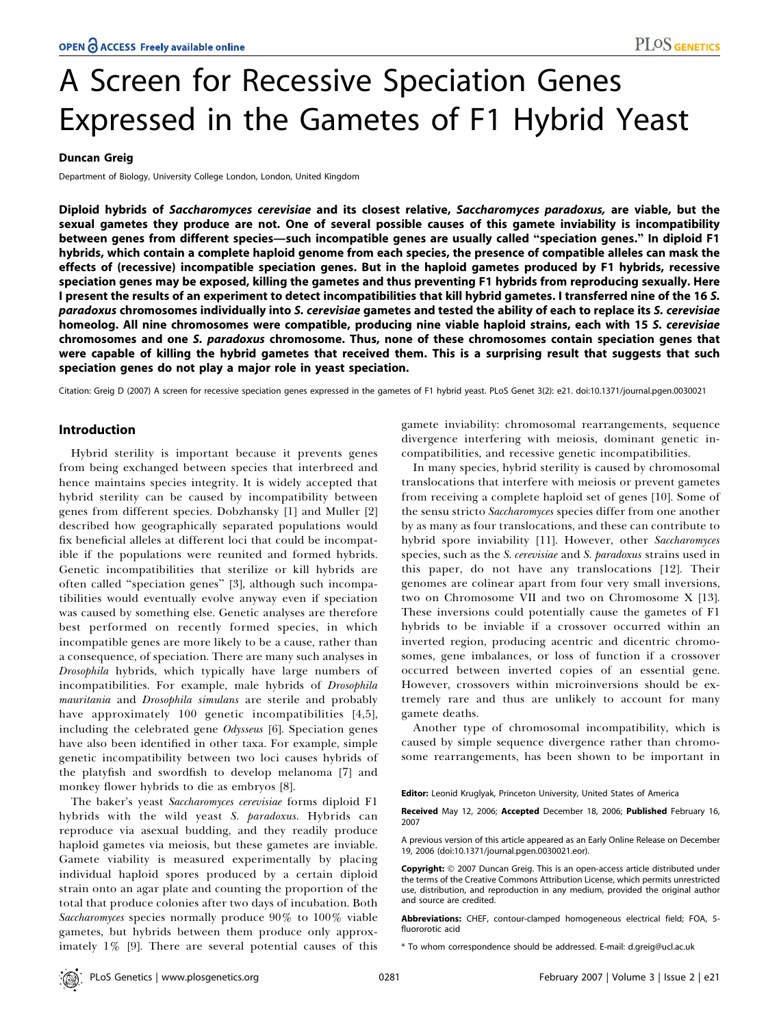# A Screen for Recessive Speciation Genes Expressed in the Gametes of F1 Hybrid Yeast

#### Duncan Greig

Department of Biology, University College London, London, United Kingdom

Diploid hybrids of Saccharomyces cerevisiae and its closest relative, Saccharomyces paradoxus, are viable, but the sexual gametes they produce are not. One of several possible causes of this gamete inviability is incompatibility between genes from different species—such incompatible genes are usually called ''speciation genes.'' In diploid F1 hybrids, which contain a complete haploid genome from each species, the presence of compatible alleles can mask the effects of (recessive) incompatible speciation genes. But in the haploid gametes produced by F1 hybrids, recessive speciation genes may be exposed, killing the gametes and thus preventing F1 hybrids from reproducing sexually. Here I present the results of an experiment to detect incompatibilities that kill hybrid gametes. I transferred nine of the 16 S. paradoxus chromosomes individually into S. cerevisiae gametes and tested the ability of each to replace its S. cerevisiae homeolog. All nine chromosomes were compatible, producing nine viable haploid strains, each with 15 S. cerevisiae chromosomes and one S. paradoxus chromosome. Thus, none of these chromosomes contain speciation genes that were capable of killing the hybrid gametes that received them. This is a surprising result that suggests that such speciation genes do not play a major role in yeast speciation.

Citation: Greig D (2007) A screen for recessive speciation genes expressed in the gametes of F1 hybrid yeast. PLoS Genet 3(2): e21. doi:10.1371/journal.pgen.0030021

#### Introduction

Hybrid sterility is important because it prevents genes from being exchanged between species that interbreed and hence maintains species integrity. It is widely accepted that hybrid sterility can be caused by incompatibility between genes from different species. Dobzhansky [1] and Muller [2] described how geographically separated populations would fix beneficial alleles at different loci that could be incompatible if the populations were reunited and formed hybrids. Genetic incompatibilities that sterilize or kill hybrids are often called ''speciation genes'' [3], although such incompatibilities would eventually evolve anyway even if speciation was caused by something else. Genetic analyses are therefore best performed on recently formed species, in which incompatible genes are more likely to be a cause, rather than a consequence, of speciation. There are many such analyses in Drosophila hybrids, which typically have large numbers of incompatibilities. For example, male hybrids of Drosophila mauritania and Drosophila simulans are sterile and probably have approximately 100 genetic incompatibilities [4,5], including the celebrated gene Odysseus [6]. Speciation genes have also been identified in other taxa. For example, simple genetic incompatibility between two loci causes hybrids of the platyfish and swordfish to develop melanoma [7] and monkey flower hybrids to die as embryos [8].

The baker's yeast Saccharomyces cerevisiae forms diploid F1 hybrids with the wild yeast S. paradoxus. Hybrids can reproduce via asexual budding, and they readily produce haploid gametes via meiosis, but these gametes are inviable. Gamete viability is measured experimentally by placing individual haploid spores produced by a certain diploid strain onto an agar plate and counting the proportion of the total that produce colonies after two days of incubation. Both Saccharomyces species normally produce 90% to 100% viable gametes, but hybrids between them produce only approximately 1% [9]. There are several potential causes of this gamete inviability: chromosomal rearrangements, sequence divergence interfering with meiosis, dominant genetic incompatibilities, and recessive genetic incompatibilities.

In many species, hybrid sterility is caused by chromosomal translocations that interfere with meiosis or prevent gametes from receiving a complete haploid set of genes [10]. Some of the sensu stricto Saccharomyces species differ from one another by as many as four translocations, and these can contribute to hybrid spore inviability [11]. However, other Saccharomyces species, such as the S. cerevisiae and S. paradoxus strains used in this paper, do not have any translocations [12]. Their genomes are colinear apart from four very small inversions, two on Chromosome VII and two on Chromosome X [13]. These inversions could potentially cause the gametes of F1 hybrids to be inviable if a crossover occurred within an inverted region, producing acentric and dicentric chromosomes, gene imbalances, or loss of function if a crossover occurred between inverted copies of an essential gene. However, crossovers within microinversions should be extremely rare and thus are unlikely to account for many gamete deaths.

Another type of chromosomal incompatibility, which is caused by simple sequence divergence rather than chromosome rearrangements, has been shown to be important in

Editor: Leonid Kruglyak, Princeton University, United States of America

Received May 12, 2006; Accepted December 18, 2006; Published February 16, 2007

A previous version of this article appeared as an Early Online Release on December 19, 2006 (doi:10.1371/journal.pgen.0030021.eor).

Copyright: © 2007 Duncan Greig. This is an open-access article distributed under the terms of the Creative Commons Attribution License, which permits unrestricted use, distribution, and reproduction in any medium, provided the original author and source are credited.

Abbreviations: CHEF, contour-clamped homogeneous electrical field; FOA, 5 fluororotic acid

\* To whom correspondence should be addressed. E-mail: d.greig@ucl.ac.uk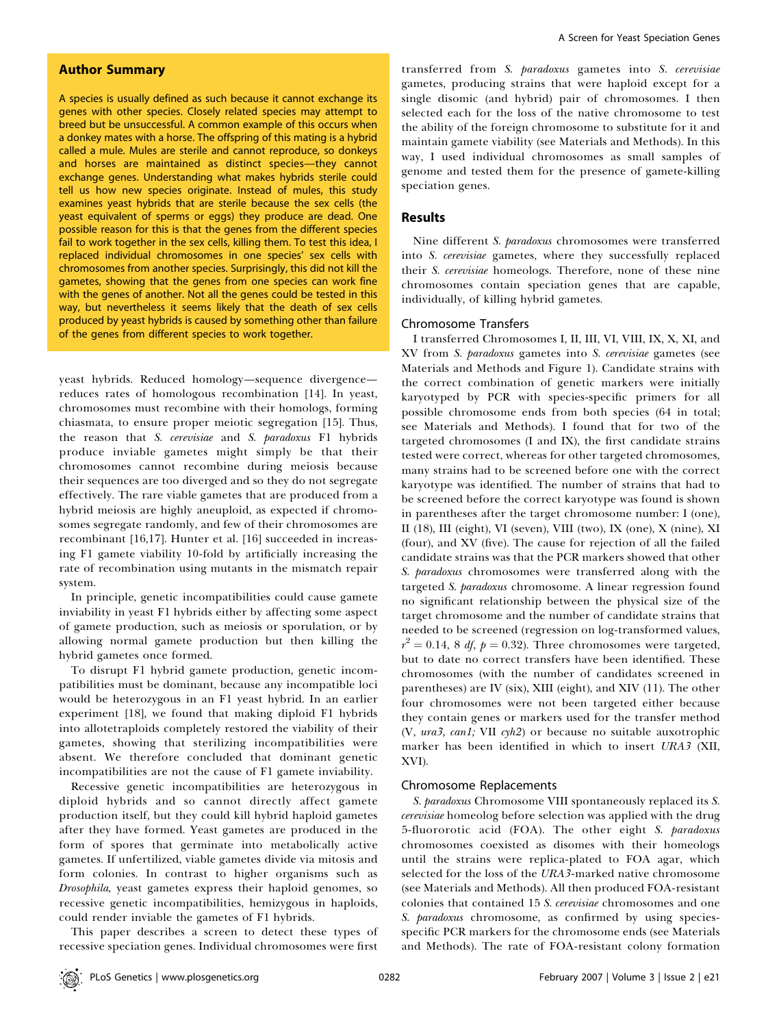## Author Summary

A species is usually defined as such because it cannot exchange its genes with other species. Closely related species may attempt to breed but be unsuccessful. A common example of this occurs when a donkey mates with a horse. The offspring of this mating is a hybrid called a mule. Mules are sterile and cannot reproduce, so donkeys and horses are maintained as distinct species—they cannot exchange genes. Understanding what makes hybrids sterile could tell us how new species originate. Instead of mules, this study examines yeast hybrids that are sterile because the sex cells (the yeast equivalent of sperms or eggs) they produce are dead. One possible reason for this is that the genes from the different species fail to work together in the sex cells, killing them. To test this idea, I replaced individual chromosomes in one species' sex cells with chromosomes from another species. Surprisingly, this did not kill the gametes, showing that the genes from one species can work fine with the genes of another. Not all the genes could be tested in this way, but nevertheless it seems likely that the death of sex cells produced by yeast hybrids is caused by something other than failure of the genes from different species to work together.

yeast hybrids. Reduced homology—sequence divergence reduces rates of homologous recombination [14]. In yeast, chromosomes must recombine with their homologs, forming chiasmata, to ensure proper meiotic segregation [15]. Thus, the reason that S. cerevisiae and S. paradoxus F1 hybrids produce inviable gametes might simply be that their chromosomes cannot recombine during meiosis because their sequences are too diverged and so they do not segregate effectively. The rare viable gametes that are produced from a hybrid meiosis are highly aneuploid, as expected if chromosomes segregate randomly, and few of their chromosomes are recombinant [16,17]. Hunter et al. [16] succeeded in increasing F1 gamete viability 10-fold by artificially increasing the rate of recombination using mutants in the mismatch repair system.

In principle, genetic incompatibilities could cause gamete inviability in yeast F1 hybrids either by affecting some aspect of gamete production, such as meiosis or sporulation, or by allowing normal gamete production but then killing the hybrid gametes once formed.

To disrupt F1 hybrid gamete production, genetic incompatibilities must be dominant, because any incompatible loci would be heterozygous in an F1 yeast hybrid. In an earlier experiment [18], we found that making diploid F1 hybrids into allotetraploids completely restored the viability of their gametes, showing that sterilizing incompatibilities were absent. We therefore concluded that dominant genetic incompatibilities are not the cause of F1 gamete inviability.

Recessive genetic incompatibilities are heterozygous in diploid hybrids and so cannot directly affect gamete production itself, but they could kill hybrid haploid gametes after they have formed. Yeast gametes are produced in the form of spores that germinate into metabolically active gametes. If unfertilized, viable gametes divide via mitosis and form colonies. In contrast to higher organisms such as Drosophila, yeast gametes express their haploid genomes, so recessive genetic incompatibilities, hemizygous in haploids, could render inviable the gametes of F1 hybrids.

This paper describes a screen to detect these types of recessive speciation genes. Individual chromosomes were first

transferred from S. paradoxus gametes into S. cerevisiae gametes, producing strains that were haploid except for a single disomic (and hybrid) pair of chromosomes. I then selected each for the loss of the native chromosome to test the ability of the foreign chromosome to substitute for it and maintain gamete viability (see Materials and Methods). In this way, I used individual chromosomes as small samples of genome and tested them for the presence of gamete-killing speciation genes.

#### Results

Nine different S. paradoxus chromosomes were transferred into S. cerevisiae gametes, where they successfully replaced their S. cerevisiae homeologs. Therefore, none of these nine chromosomes contain speciation genes that are capable, individually, of killing hybrid gametes.

#### Chromosome Transfers

I transferred Chromosomes I, II, III, VI, VIII, IX, X, XI, and XV from S. paradoxus gametes into S. cerevisiae gametes (see Materials and Methods and Figure 1). Candidate strains with the correct combination of genetic markers were initially karyotyped by PCR with species-specific primers for all possible chromosome ends from both species (64 in total; see Materials and Methods). I found that for two of the targeted chromosomes (I and IX), the first candidate strains tested were correct, whereas for other targeted chromosomes, many strains had to be screened before one with the correct karyotype was identified. The number of strains that had to be screened before the correct karyotype was found is shown in parentheses after the target chromosome number: I (one), II (18), III (eight), VI (seven), VIII (two), IX (one), X (nine), XI (four), and XV (five). The cause for rejection of all the failed candidate strains was that the PCR markers showed that other S. paradoxus chromosomes were transferred along with the targeted S. paradoxus chromosome. A linear regression found no significant relationship between the physical size of the target chromosome and the number of candidate strains that needed to be screened (regression on log-transformed values,  $r^2 = 0.14$ , 8 df,  $p = 0.32$ ). Three chromosomes were targeted, but to date no correct transfers have been identified. These chromosomes (with the number of candidates screened in parentheses) are IV (six), XIII (eight), and XIV (11). The other four chromosomes were not been targeted either because they contain genes or markers used for the transfer method (V, ura3, can1; VII cyh2) or because no suitable auxotrophic marker has been identified in which to insert URA3 (XII, XVI).

#### Chromosome Replacements

S. paradoxus Chromosome VIII spontaneously replaced its S. cerevisiae homeolog before selection was applied with the drug 5-fluororotic acid (FOA). The other eight S. paradoxus chromosomes coexisted as disomes with their homeologs until the strains were replica-plated to FOA agar, which selected for the loss of the URA3-marked native chromosome (see Materials and Methods). All then produced FOA-resistant colonies that contained 15 S. cerevisiae chromosomes and one S. *paradoxus* chromosome, as confirmed by using speciesspecific PCR markers for the chromosome ends (see Materials and Methods). The rate of FOA-resistant colony formation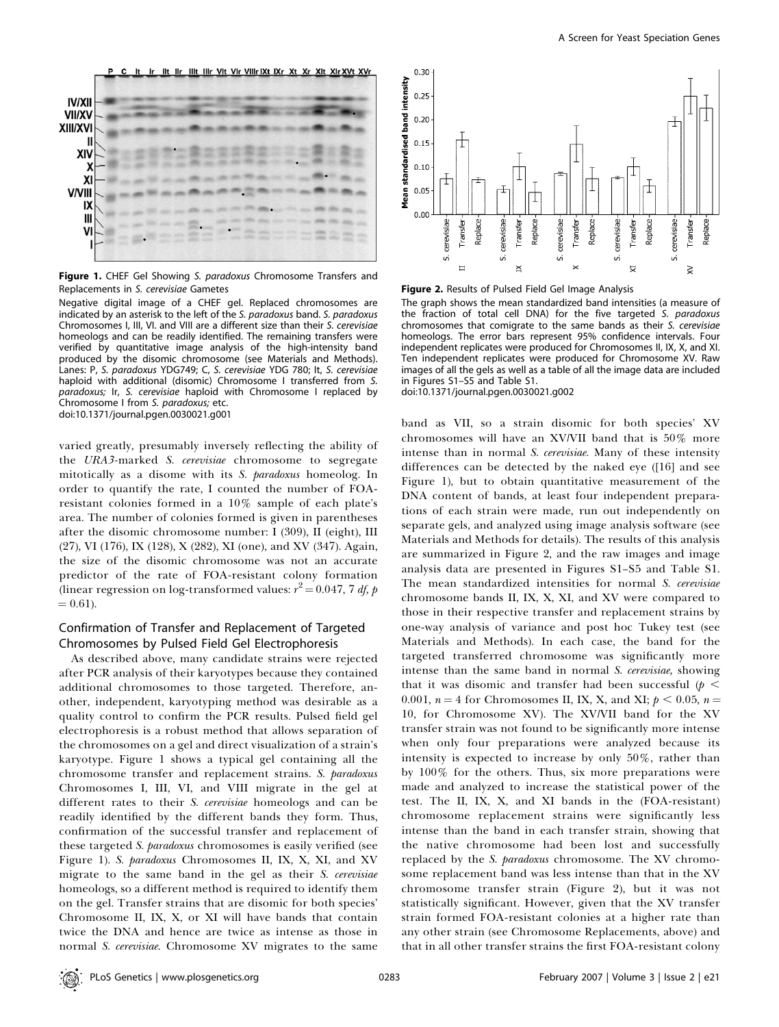

Figure 1. CHEF Gel Showing S. paradoxus Chromosome Transfers and Replacements in S. cerevisiae Gametes

Negative digital image of a CHEF gel. Replaced chromosomes are indicated by an asterisk to the left of the S. paradoxus band. S. paradoxus Chromosomes I, III, VI. and VIII are a different size than their S. cerevisiae homeologs and can be readily identified. The remaining transfers were verified by quantitative image analysis of the high-intensity band produced by the disomic chromosome (see Materials and Methods). Lanes: P, S. paradoxus YDG749; C, S. cerevisiae YDG 780; It, S. cerevisiae haploid with additional (disomic) Chromosome I transferred from S. paradoxus; Ir, S. cerevisiae haploid with Chromosome I replaced by Chromosome I from S. paradoxus; etc. doi:10.1371/journal.pgen.0030021.g001

varied greatly, presumably inversely reflecting the ability of the URA3-marked S. cerevisiae chromosome to segregate mitotically as a disome with its S. paradoxus homeolog. In order to quantify the rate, I counted the number of FOAresistant colonies formed in a 10% sample of each plate's area. The number of colonies formed is given in parentheses after the disomic chromosome number: I (309), II (eight), III (27), VI (176), IX (128), X (282), XI (one), and XV (347). Again, the size of the disomic chromosome was not an accurate predictor of the rate of FOA-resistant colony formation (linear regression on log-transformed values:  $r^2$  = 0.047, 7 *df, p*  $= 0.61$ .

#### Confirmation of Transfer and Replacement of Targeted Chromosomes by Pulsed Field Gel Electrophoresis

As described above, many candidate strains were rejected after PCR analysis of their karyotypes because they contained additional chromosomes to those targeted. Therefore, another, independent, karyotyping method was desirable as a quality control to confirm the PCR results. Pulsed field gel electrophoresis is a robust method that allows separation of the chromosomes on a gel and direct visualization of a strain's karyotype. Figure 1 shows a typical gel containing all the chromosome transfer and replacement strains. S. paradoxus Chromosomes I, III, VI, and VIII migrate in the gel at different rates to their *S. cerevisiae* homeologs and can be readily identified by the different bands they form. Thus, confirmation of the successful transfer and replacement of these targeted S. paradoxus chromosomes is easily verified (see Figure 1). S. paradoxus Chromosomes II, IX, X, XI, and XV migrate to the same band in the gel as their S. cerevisiae homeologs, so a different method is required to identify them on the gel. Transfer strains that are disomic for both species' Chromosome II, IX, X, or XI will have bands that contain twice the DNA and hence are twice as intense as those in normal S. cerevisiae. Chromosome XV migrates to the same



Figure 2. Results of Pulsed Field Gel Image Analysis

The graph shows the mean standardized band intensities (a measure of the fraction of total cell DNA) for the five targeted S. paradoxus chromosomes that comigrate to the same bands as their S. cerevisiae homeologs. The error bars represent 95% confidence intervals. Four independent replicates were produced for Chromosomes II, IX, X, and XI. Ten independent replicates were produced for Chromosome XV. Raw images of all the gels as well as a table of all the image data are included in Figures S1–S5 and Table S1.

doi:10.1371/journal.pgen.0030021.g002

band as VII, so a strain disomic for both species' XV chromosomes will have an XV/VII band that is 50% more intense than in normal S. cerevisiae. Many of these intensity differences can be detected by the naked eye ([16] and see Figure 1), but to obtain quantitative measurement of the DNA content of bands, at least four independent preparations of each strain were made, run out independently on separate gels, and analyzed using image analysis software (see Materials and Methods for details). The results of this analysis are summarized in Figure 2, and the raw images and image analysis data are presented in Figures S1–S5 and Table S1. The mean standardized intensities for normal S. cerevisiae chromosome bands II, IX, X, XI, and XV were compared to those in their respective transfer and replacement strains by one-way analysis of variance and post hoc Tukey test (see Materials and Methods). In each case, the band for the targeted transferred chromosome was significantly more intense than the same band in normal S. cerevisiae, showing that it was disomic and transfer had been successful  $(p <$ 0.001,  $n = 4$  for Chromosomes II, IX, X, and XI;  $p < 0.05$ ,  $n =$ 10, for Chromosome XV). The XV/VII band for the XV transfer strain was not found to be significantly more intense when only four preparations were analyzed because its intensity is expected to increase by only 50%, rather than by 100% for the others. Thus, six more preparations were made and analyzed to increase the statistical power of the test. The II, IX, X, and XI bands in the (FOA-resistant) chromosome replacement strains were significantly less intense than the band in each transfer strain, showing that the native chromosome had been lost and successfully replaced by the S. paradoxus chromosome. The XV chromosome replacement band was less intense than that in the XV chromosome transfer strain (Figure 2), but it was not statistically significant. However, given that the XV transfer strain formed FOA-resistant colonies at a higher rate than any other strain (see Chromosome Replacements, above) and that in all other transfer strains the first FOA-resistant colony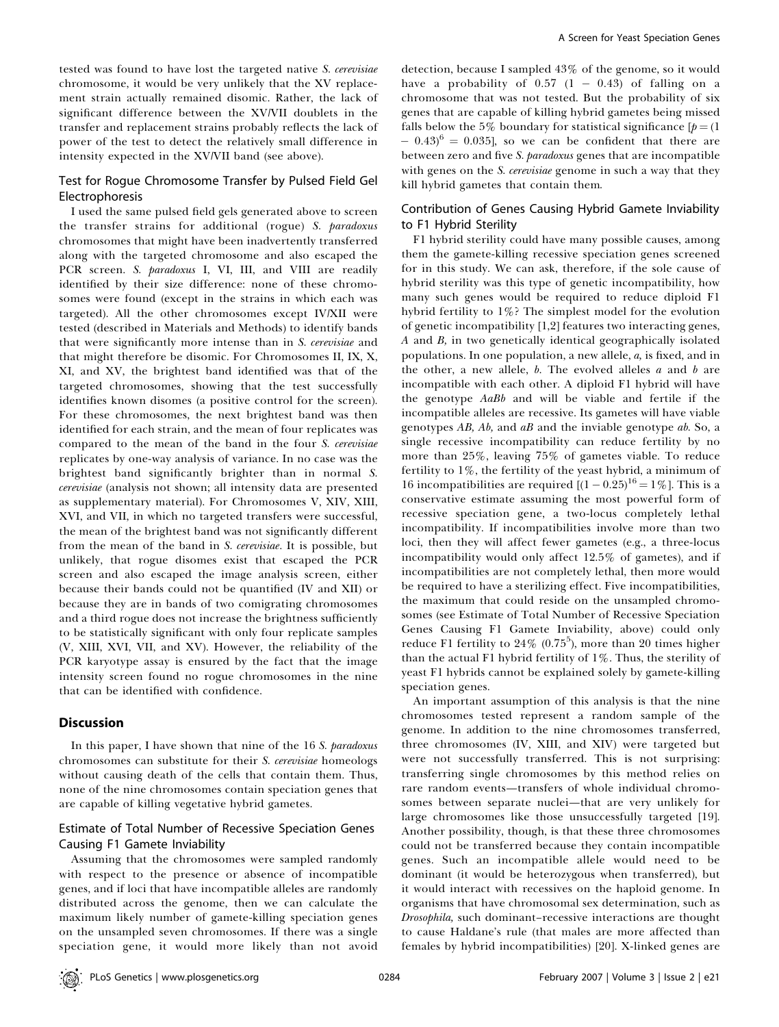tested was found to have lost the targeted native S. cerevisiae chromosome, it would be very unlikely that the XV replacement strain actually remained disomic. Rather, the lack of significant difference between the XV/VII doublets in the transfer and replacement strains probably reflects the lack of power of the test to detect the relatively small difference in intensity expected in the XV/VII band (see above).

# Test for Rogue Chromosome Transfer by Pulsed Field Gel Electrophoresis

I used the same pulsed field gels generated above to screen the transfer strains for additional (rogue) S. paradoxus chromosomes that might have been inadvertently transferred along with the targeted chromosome and also escaped the PCR screen. S. paradoxus I, VI, III, and VIII are readily identified by their size difference: none of these chromosomes were found (except in the strains in which each was targeted). All the other chromosomes except IV/XII were tested (described in Materials and Methods) to identify bands that were significantly more intense than in S. cerevisiae and that might therefore be disomic. For Chromosomes II, IX, X, XI, and XV, the brightest band identified was that of the targeted chromosomes, showing that the test successfully identifies known disomes (a positive control for the screen). For these chromosomes, the next brightest band was then identified for each strain, and the mean of four replicates was compared to the mean of the band in the four S. cerevisiae replicates by one-way analysis of variance. In no case was the brightest band significantly brighter than in normal S. cerevisiae (analysis not shown; all intensity data are presented as supplementary material). For Chromosomes V, XIV, XIII, XVI, and VII, in which no targeted transfers were successful, the mean of the brightest band was not significantly different from the mean of the band in S. cerevisiae. It is possible, but unlikely, that rogue disomes exist that escaped the PCR screen and also escaped the image analysis screen, either because their bands could not be quantified (IV and XII) or because they are in bands of two comigrating chromosomes and a third rogue does not increase the brightness sufficiently to be statistically significant with only four replicate samples (V, XIII, XVI, VII, and XV). However, the reliability of the PCR karyotype assay is ensured by the fact that the image intensity screen found no rogue chromosomes in the nine that can be identified with confidence.

#### **Discussion**

In this paper, I have shown that nine of the 16 S. paradoxus chromosomes can substitute for their S. cerevisiae homeologs without causing death of the cells that contain them. Thus, none of the nine chromosomes contain speciation genes that are capable of killing vegetative hybrid gametes.

## Estimate of Total Number of Recessive Speciation Genes Causing F1 Gamete Inviability

Assuming that the chromosomes were sampled randomly with respect to the presence or absence of incompatible genes, and if loci that have incompatible alleles are randomly distributed across the genome, then we can calculate the maximum likely number of gamete-killing speciation genes on the unsampled seven chromosomes. If there was a single speciation gene, it would more likely than not avoid

detection, because I sampled 43% of the genome, so it would have a probability of  $0.57$   $(1 - 0.43)$  of falling on a chromosome that was not tested. But the probability of six genes that are capable of killing hybrid gametes being missed falls below the 5% boundary for statistical significance  $[p = (1$  $-0.43$ <sup>6</sup> = 0.035], so we can be confident that there are between zero and five S. paradoxus genes that are incompatible with genes on the S. cerevisiae genome in such a way that they kill hybrid gametes that contain them.

# Contribution of Genes Causing Hybrid Gamete Inviability to F1 Hybrid Sterility

F1 hybrid sterility could have many possible causes, among them the gamete-killing recessive speciation genes screened for in this study. We can ask, therefore, if the sole cause of hybrid sterility was this type of genetic incompatibility, how many such genes would be required to reduce diploid F1 hybrid fertility to 1%? The simplest model for the evolution of genetic incompatibility [1,2] features two interacting genes, A and B, in two genetically identical geographically isolated populations. In one population, a new allele, a, is fixed, and in the other, a new allele,  $b$ . The evolved alleles  $a$  and  $b$  are incompatible with each other. A diploid F1 hybrid will have the genotype AaBb and will be viable and fertile if the incompatible alleles are recessive. Its gametes will have viable genotypes AB, Ab, and aB and the inviable genotype ab. So, a single recessive incompatibility can reduce fertility by no more than 25%, leaving 75% of gametes viable. To reduce fertility to 1%, the fertility of the yeast hybrid, a minimum of 16 incompatibilities are required  $[(1 - 0.25)^{16} = 1\%]$ . This is a conservative estimate assuming the most powerful form of recessive speciation gene, a two-locus completely lethal incompatibility. If incompatibilities involve more than two loci, then they will affect fewer gametes (e.g., a three-locus incompatibility would only affect 12.5% of gametes), and if incompatibilities are not completely lethal, then more would be required to have a sterilizing effect. Five incompatibilities, the maximum that could reside on the unsampled chromosomes (see Estimate of Total Number of Recessive Speciation Genes Causing F1 Gamete Inviability, above) could only reduce F1 fertility to  $24\%$  (0.75<sup>5</sup>), more than 20 times higher than the actual F1 hybrid fertility of 1%. Thus, the sterility of yeast F1 hybrids cannot be explained solely by gamete-killing speciation genes.

An important assumption of this analysis is that the nine chromosomes tested represent a random sample of the genome. In addition to the nine chromosomes transferred, three chromosomes (IV, XIII, and XIV) were targeted but were not successfully transferred. This is not surprising: transferring single chromosomes by this method relies on rare random events—transfers of whole individual chromosomes between separate nuclei—that are very unlikely for large chromosomes like those unsuccessfully targeted [19]. Another possibility, though, is that these three chromosomes could not be transferred because they contain incompatible genes. Such an incompatible allele would need to be dominant (it would be heterozygous when transferred), but it would interact with recessives on the haploid genome. In organisms that have chromosomal sex determination, such as Drosophila, such dominant–recessive interactions are thought to cause Haldane's rule (that males are more affected than females by hybrid incompatibilities) [20]. X-linked genes are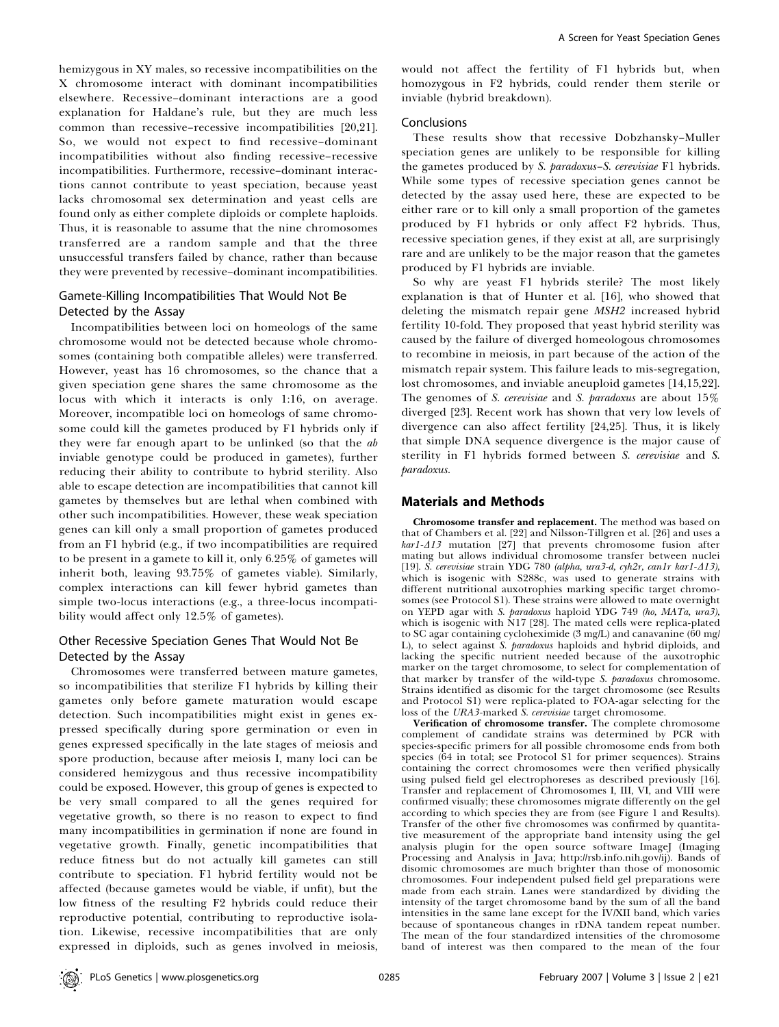hemizygous in XY males, so recessive incompatibilities on the X chromosome interact with dominant incompatibilities elsewhere. Recessive–dominant interactions are a good explanation for Haldane's rule, but they are much less common than recessive–recessive incompatibilities [20,21]. So, we would not expect to find recessive–dominant incompatibilities without also finding recessive–recessive incompatibilities. Furthermore, recessive–dominant interactions cannot contribute to yeast speciation, because yeast lacks chromosomal sex determination and yeast cells are found only as either complete diploids or complete haploids. Thus, it is reasonable to assume that the nine chromosomes transferred are a random sample and that the three unsuccessful transfers failed by chance, rather than because they were prevented by recessive–dominant incompatibilities.

## Gamete-Killing Incompatibilities That Would Not Be Detected by the Assay

Incompatibilities between loci on homeologs of the same chromosome would not be detected because whole chromosomes (containing both compatible alleles) were transferred. However, yeast has 16 chromosomes, so the chance that a given speciation gene shares the same chromosome as the locus with which it interacts is only 1:16, on average. Moreover, incompatible loci on homeologs of same chromosome could kill the gametes produced by F1 hybrids only if they were far enough apart to be unlinked (so that the ab inviable genotype could be produced in gametes), further reducing their ability to contribute to hybrid sterility. Also able to escape detection are incompatibilities that cannot kill gametes by themselves but are lethal when combined with other such incompatibilities. However, these weak speciation genes can kill only a small proportion of gametes produced from an F1 hybrid (e.g., if two incompatibilities are required to be present in a gamete to kill it, only 6.25% of gametes will inherit both, leaving 93.75% of gametes viable). Similarly, complex interactions can kill fewer hybrid gametes than simple two-locus interactions (e.g., a three-locus incompatibility would affect only 12.5% of gametes).

# Other Recessive Speciation Genes That Would Not Be Detected by the Assay

Chromosomes were transferred between mature gametes, so incompatibilities that sterilize F1 hybrids by killing their gametes only before gamete maturation would escape detection. Such incompatibilities might exist in genes expressed specifically during spore germination or even in genes expressed specifically in the late stages of meiosis and spore production, because after meiosis I, many loci can be considered hemizygous and thus recessive incompatibility could be exposed. However, this group of genes is expected to be very small compared to all the genes required for vegetative growth, so there is no reason to expect to find many incompatibilities in germination if none are found in vegetative growth. Finally, genetic incompatibilities that reduce fitness but do not actually kill gametes can still contribute to speciation. F1 hybrid fertility would not be affected (because gametes would be viable, if unfit), but the low fitness of the resulting F2 hybrids could reduce their reproductive potential, contributing to reproductive isolation. Likewise, recessive incompatibilities that are only expressed in diploids, such as genes involved in meiosis,

would not affect the fertility of F1 hybrids but, when homozygous in F2 hybrids, could render them sterile or inviable (hybrid breakdown).

#### **Conclusions**

These results show that recessive Dobzhansky–Muller speciation genes are unlikely to be responsible for killing the gametes produced by S. paradoxus–S. cerevisiae F1 hybrids. While some types of recessive speciation genes cannot be detected by the assay used here, these are expected to be either rare or to kill only a small proportion of the gametes produced by F1 hybrids or only affect F2 hybrids. Thus, recessive speciation genes, if they exist at all, are surprisingly rare and are unlikely to be the major reason that the gametes produced by F1 hybrids are inviable.

So why are yeast F1 hybrids sterile? The most likely explanation is that of Hunter et al. [16], who showed that deleting the mismatch repair gene MSH2 increased hybrid fertility 10-fold. They proposed that yeast hybrid sterility was caused by the failure of diverged homeologous chromosomes to recombine in meiosis, in part because of the action of the mismatch repair system. This failure leads to mis-segregation, lost chromosomes, and inviable aneuploid gametes [14,15,22]. The genomes of S. cerevisiae and S. paradoxus are about 15% diverged [23]. Recent work has shown that very low levels of divergence can also affect fertility [24,25]. Thus, it is likely that simple DNA sequence divergence is the major cause of sterility in F1 hybrids formed between S. cerevisiae and S. paradoxus.

# Materials and Methods

Chromosome transfer and replacement. The method was based on that of Chambers et al. [22] and Nilsson-Tillgren et al. [26] and uses a  $kar1-A13$  mutation [27] that prevents chromosome fusion after mating but allows individual chromosome transfer between nuclei [19]. S. cerevisiae strain YDG 780 (alpha, ura3-d, cyh2r, can1r kar1- $\Delta$ 13), which is isogenic with S288c, was used to generate strains with different nutritional auxotrophies marking specific target chromosomes (see Protocol S1). These strains were allowed to mate overnight on YEPD agar with S. paradoxus haploid YDG 749 (ho, MATa, ura3), which is isogenic with  $\hat{N}17$  [28]. The mated cells were replica-plated to SC agar containing cycloheximide (3 mg/L) and canavanine (60 mg/ L), to select against S. paradoxus haploids and hybrid diploids, and lacking the specific nutrient needed because of the auxotrophic marker on the target chromosome, to select for complementation of that marker by transfer of the wild-type S. paradoxus chromosome. Strains identified as disomic for the target chromosome (see Results and Protocol S1) were replica-plated to FOA-agar selecting for the loss of the URA3-marked S. cerevisiae target chromosome.

Verification of chromosome transfer. The complete chromosome complement of candidate strains was determined by PCR with species-specific primers for all possible chromosome ends from both species (64 in total; see Protocol S1 for primer sequences). Strains containing the correct chromosomes were then verified physically using pulsed field gel electrophoreses as described previously [16]. Transfer and replacement of Chromosomes I, III, VI, and VIII were confirmed visually; these chromosomes migrate differently on the gel according to which species they are from (see Figure 1 and Results). Transfer of the other five chromosomes was confirmed by quantitative measurement of the appropriate band intensity using the gel analysis plugin for the open source software ImageJ (Imaging Processing and Analysis in Java; http://rsb.info.nih.gov/ij). Bands of disomic chromosomes are much brighter than those of monosomic chromosomes. Four independent pulsed field gel preparations were made from each strain. Lanes were standardized by dividing the intensity of the target chromosome band by the sum of all the band intensities in the same lane except for the IV/XII band, which varies because of spontaneous changes in rDNA tandem repeat number. The mean of the four standardized intensities of the chromosome band of interest was then compared to the mean of the four